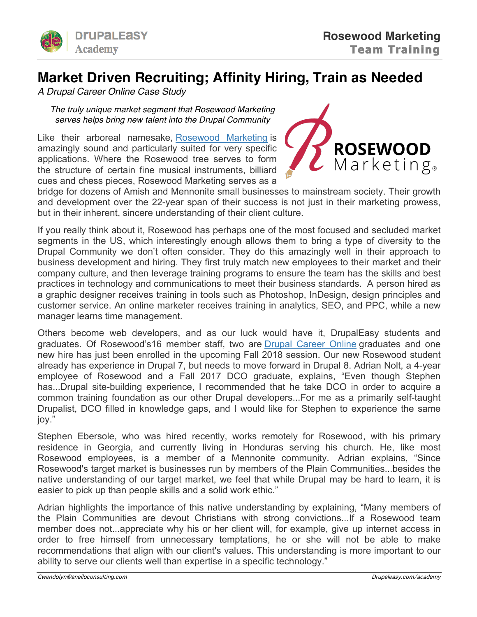

## **Market Driven Recruiting; Affinity Hiring, Train as Needed**

*A Drupal Career Online Case Study*

*The truly unique market segment that Rosewood Marketing serves helps bring new talent into the Drupal Community*

Like their arboreal namesake, Rosewood Marketing is amazingly sound and particularly suited for very specific applications. Where the Rosewood tree serves to form the structure of certain fine musical instruments, billiard cues and chess pieces, Rosewood Marketing serves as a



bridge for dozens of Amish and Mennonite small businesses to mainstream society. Their growth and development over the 22-year span of their success is not just in their marketing prowess, but in their inherent, sincere understanding of their client culture.

If you really think about it, Rosewood has perhaps one of the most focused and secluded market segments in the US, which interestingly enough allows them to bring a type of diversity to the Drupal Community we don't often consider. They do this amazingly well in their approach to business development and hiring. They first truly match new employees to their market and their company culture, and then leverage training programs to ensure the team has the skills and best practices in technology and communications to meet their business standards. A person hired as a graphic designer receives training in tools such as Photoshop, InDesign, design principles and customer service. An online marketer receives training in analytics, SEO, and PPC, while a new manager learns time management.

Others become web developers, and as our luck would have it, DrupalEasy students and graduates. Of Rosewood's16 member staff, two are Drupal Career Online graduates and one new hire has just been enrolled in the upcoming Fall 2018 session. Our new Rosewood student already has experience in Drupal 7, but needs to move forward in Drupal 8. Adrian Nolt, a 4-year employee of Rosewood and a Fall 2017 DCO graduate, explains, "Even though Stephen has...Drupal site-building experience, I recommended that he take DCO in order to acquire a common training foundation as our other Drupal developers...For me as a primarily self-taught Drupalist, DCO filled in knowledge gaps, and I would like for Stephen to experience the same joy."

Stephen Ebersole, who was hired recently, works remotely for Rosewood, with his primary residence in Georgia, and currently living in Honduras serving his church. He, like most Rosewood employees, is a member of a Mennonite community. Adrian explains, "Since Rosewood's target market is businesses run by members of the Plain Communities...besides the native understanding of our target market, we feel that while Drupal may be hard to learn, it is easier to pick up than people skills and a solid work ethic."

Adrian highlights the importance of this native understanding by explaining, "Many members of the Plain Communities are devout Christians with strong convictions...If a Rosewood team member does not...appreciate why his or her client will, for example, give up internet access in order to free himself from unnecessary temptations, he or she will not be able to make recommendations that align with our client's values. This understanding is more important to our ability to serve our clients well than expertise in a specific technology."